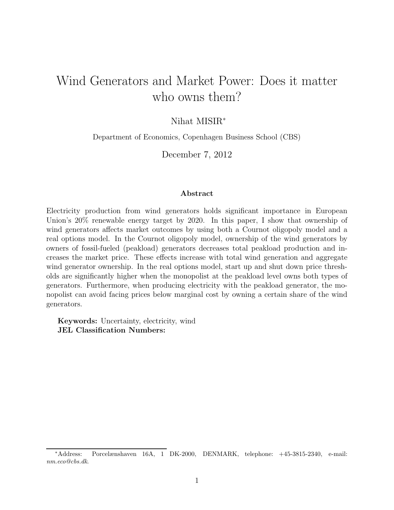# Wind Generators and Market Power: Does it matter who owns them?

### Nihat MISIR<sup>∗</sup>

Department of Economics, Copenhagen Business School (CBS)

December 7, 2012

#### Abstract

Electricity production from wind generators holds significant importance in European Union's 20% renewable energy target by 2020. In this paper, I show that ownership of wind generators affects market outcomes by using both a Cournot oligopoly model and a real options model. In the Cournot oligopoly model, ownership of the wind generators by owners of fossil-fueled (peakload) generators decreases total peakload production and increases the market price. These effects increase with total wind generation and aggregate wind generator ownership. In the real options model, start up and shut down price thresholds are significantly higher when the monopolist at the peakload level owns both types of generators. Furthermore, when producing electricity with the peakload generator, the monopolist can avoid facing prices below marginal cost by owning a certain share of the wind generators.

Keywords: Uncertainty, electricity, wind JEL Classification Numbers:

<sup>∗</sup>Address: Porcelænshaven 16A, 1 DK-2000, DENMARK, telephone: +45-3815-2340, e-mail: nm.eco@cbs.dk.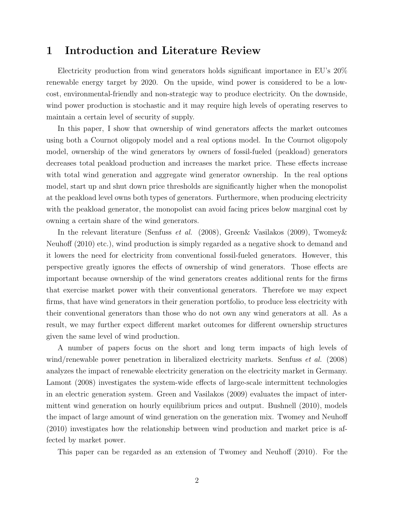### 1 Introduction and Literature Review

Electricity production from wind generators holds significant importance in EU's 20% renewable energy target by 2020. On the upside, wind power is considered to be a lowcost, environmental-friendly and non-strategic way to produce electricity. On the downside, wind power production is stochastic and it may require high levels of operating reserves to maintain a certain level of security of supply.

In this paper, I show that ownership of wind generators affects the market outcomes using both a Cournot oligopoly model and a real options model. In the Cournot oligopoly model, ownership of the wind generators by owners of fossil-fueled (peakload) generators decreases total peakload production and increases the market price. These effects increase with total wind generation and aggregate wind generator ownership. In the real options model, start up and shut down price thresholds are significantly higher when the monopolist at the peakload level owns both types of generators. Furthermore, when producing electricity with the peakload generator, the monopolist can avoid facing prices below marginal cost by owning a certain share of the wind generators.

In the relevant literature (Senfuss et al. (2008), Green& Vasilakos (2009), Twomey& Neuhoff (2010) etc.), wind production is simply regarded as a negative shock to demand and it lowers the need for electricity from conventional fossil-fueled generators. However, this perspective greatly ignores the effects of ownership of wind generators. Those effects are important because ownership of the wind generators creates additional rents for the firms that exercise market power with their conventional generators. Therefore we may expect firms, that have wind generators in their generation portfolio, to produce less electricity with their conventional generators than those who do not own any wind generators at all. As a result, we may further expect different market outcomes for different ownership structures given the same level of wind production.

A number of papers focus on the short and long term impacts of high levels of wind/renewable power penetration in liberalized electricity markets. Senfuss *et al.* (2008) analyzes the impact of renewable electricity generation on the electricity market in Germany. Lamont (2008) investigates the system-wide effects of large-scale intermittent technologies in an electric generation system. Green and Vasilakos (2009) evaluates the impact of intermittent wind generation on hourly equilibrium prices and output. Bushnell (2010), models the impact of large amount of wind generation on the generation mix. Twomey and Neuhoff (2010) investigates how the relationship between wind production and market price is affected by market power.

This paper can be regarded as an extension of Twomey and Neuhoff (2010). For the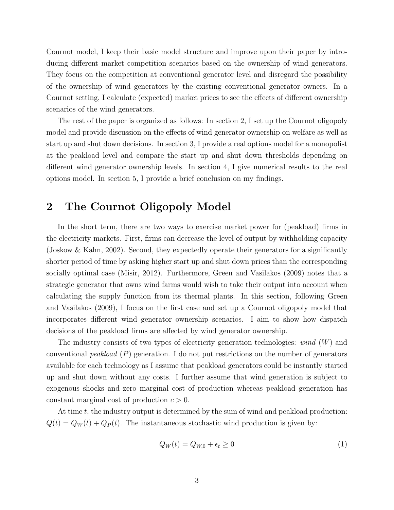Cournot model, I keep their basic model structure and improve upon their paper by introducing different market competition scenarios based on the ownership of wind generators. They focus on the competition at conventional generator level and disregard the possibility of the ownership of wind generators by the existing conventional generator owners. In a Cournot setting, I calculate (expected) market prices to see the effects of different ownership scenarios of the wind generators.

The rest of the paper is organized as follows: In section 2, I set up the Cournot oligopoly model and provide discussion on the effects of wind generator ownership on welfare as well as start up and shut down decisions. In section 3, I provide a real options model for a monopolist at the peakload level and compare the start up and shut down thresholds depending on different wind generator ownership levels. In section 4, I give numerical results to the real options model. In section 5, I provide a brief conclusion on my findings.

### 2 The Cournot Oligopoly Model

In the short term, there are two ways to exercise market power for (peakload) firms in the electricity markets. First, firms can decrease the level of output by withholding capacity (Joskow & Kahn, 2002). Second, they expectedly operate their generators for a significantly shorter period of time by asking higher start up and shut down prices than the corresponding socially optimal case (Misir, 2012). Furthermore, Green and Vasilakos (2009) notes that a strategic generator that owns wind farms would wish to take their output into account when calculating the supply function from its thermal plants. In this section, following Green and Vasilakos (2009), I focus on the first case and set up a Cournot oligopoly model that incorporates different wind generator ownership scenarios. I aim to show how dispatch decisions of the peakload firms are affected by wind generator ownership.

The industry consists of two types of electricity generation technologies:  $wind(W)$  and conventional *peakload*  $(P)$  generation. I do not put restrictions on the number of generators available for each technology as I assume that peakload generators could be instantly started up and shut down without any costs. I further assume that wind generation is subject to exogenous shocks and zero marginal cost of production whereas peakload generation has constant marginal cost of production  $c > 0$ .

At time  $t$ , the industry output is determined by the sum of wind and peakload production:  $Q(t) = Q_W(t) + Q_P(t)$ . The instantaneous stochastic wind production is given by:

$$
Q_W(t) = Q_{W,0} + \epsilon_t \ge 0
$$
\n<sup>(1)</sup>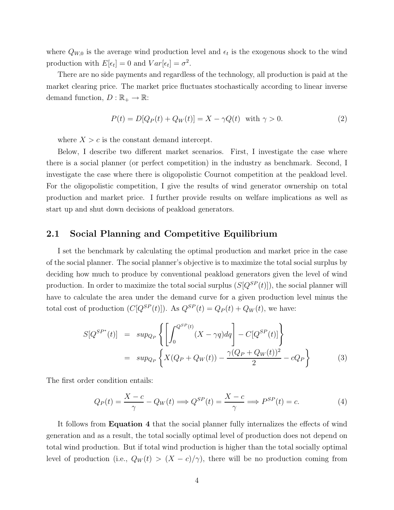where  $Q_{W,0}$  is the average wind production level and  $\epsilon_t$  is the exogenous shock to the wind production with  $E[\epsilon_t] = 0$  and  $Var[\epsilon_t] = \sigma^2$ .

There are no side payments and regardless of the technology, all production is paid at the market clearing price. The market price fluctuates stochastically according to linear inverse demand function,  $D : \mathbb{R}_+ \to \mathbb{R}$ :

$$
P(t) = D[Q_P(t) + Q_W(t)] = X - \gamma Q(t) \quad \text{with } \gamma > 0.
$$
 (2)

where  $X>c$  is the constant demand intercept.

Below, I describe two different market scenarios. First, I investigate the case where there is a social planner (or perfect competition) in the industry as benchmark. Second, I investigate the case where there is oligopolistic Cournot competition at the peakload level. For the oligopolistic competition, I give the results of wind generator ownership on total production and market price. I further provide results on welfare implications as well as start up and shut down decisions of peakload generators.

#### 2.1 Social Planning and Competitive Equilibrium

I set the benchmark by calculating the optimal production and market price in the case of the social planner. The social planner's objective is to maximize the total social surplus by deciding how much to produce by conventional peakload generators given the level of wind production. In order to maximize the total social surplus  $(S[Q^{SP}(t)])$ , the social planner will have to calculate the area under the demand curve for a given production level minus the total cost of production  $(C[Q^{SP}(t)])$ . As  $Q^{SP}(t) = Q_P(t) + Q_W(t)$ , we have:

$$
S[Q^{SP^*}(t)] = \sup_{Q_P} \left\{ \left[ \int_0^{Q^{SP}(t)} (X - \gamma q) dq \right] - C[Q^{SP}(t)] \right\}
$$
  
= 
$$
\sup_{Q_P} \left\{ X(Q_P + Q_W(t)) - \frac{\gamma (Q_P + Q_W(t))^2}{2} - cQ_P \right\}
$$
 (3)

The first order condition entails:

$$
Q_P(t) = \frac{X - c}{\gamma} - Q_W(t) \Longrightarrow Q^{SP}(t) = \frac{X - c}{\gamma} \Longrightarrow P^{SP}(t) = c.
$$
 (4)

It follows from **Equation 4** that the social planner fully internalizes the effects of wind generation and as a result, the total socially optimal level of production does not depend on total wind production. But if total wind production is higher than the total socially optimal level of production (i.e.,  $Q_W(t) > (X - c)/\gamma$ ), there will be no production coming from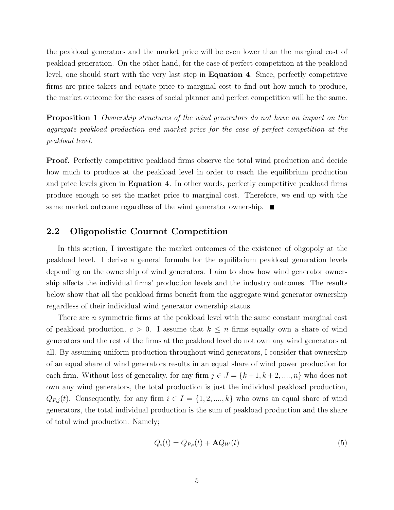the peakload generators and the market price will be even lower than the marginal cost of peakload generation. On the other hand, for the case of perfect competition at the peakload level, one should start with the very last step in Equation 4. Since, perfectly competitive firms are price takers and equate price to marginal cost to find out how much to produce, the market outcome for the cases of social planner and perfect competition will be the same.

Proposition 1 Ownership structures of the wind generators do not have an impact on the aggregate peakload production and market price for the case of perfect competition at the peakload level.

**Proof.** Perfectly competitive peakload firms observe the total wind production and decide how much to produce at the peakload level in order to reach the equilibrium production and price levels given in Equation 4. In other words, perfectly competitive peakload firms produce enough to set the market price to marginal cost. Therefore, we end up with the same market outcome regardless of the wind generator ownership.  $\blacksquare$ 

### 2.2 Oligopolistic Cournot Competition

In this section, I investigate the market outcomes of the existence of oligopoly at the peakload level. I derive a general formula for the equilibrium peakload generation levels depending on the ownership of wind generators. I aim to show how wind generator ownership affects the individual firms' production levels and the industry outcomes. The results below show that all the peakload firms benefit from the aggregate wind generator ownership regardless of their individual wind generator ownership status.

There are *n* symmetric firms at the peakload level with the same constant marginal cost of peakload production,  $c > 0$ . I assume that  $k \leq n$  firms equally own a share of wind generators and the rest of the firms at the peakload level do not own any wind generators at all. By assuming uniform production throughout wind generators, I consider that ownership of an equal share of wind generators results in an equal share of wind power production for each firm. Without loss of generality, for any firm  $j \in J = \{k+1, k+2, \ldots, n\}$  who does not own any wind generators, the total production is just the individual peakload production,  $Q_{P,j}(t)$ . Consequently, for any firm  $i \in I = \{1, 2, ..., k\}$  who owns an equal share of wind generators, the total individual production is the sum of peakload production and the share of total wind production. Namely;

$$
Q_i(t) = Q_{P,i}(t) + \mathbf{A}Q_W(t)
$$
\n<sup>(5)</sup>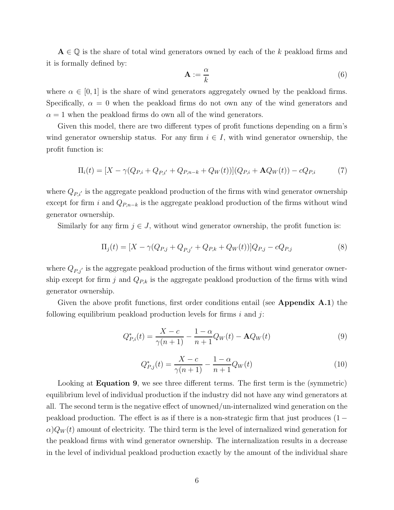$A \in \mathbb{Q}$  is the share of total wind generators owned by each of the k peakload firms and it is formally defined by:

$$
\mathbf{A} := \frac{\alpha}{k} \tag{6}
$$

where  $\alpha \in [0, 1]$  is the share of wind generators aggregately owned by the peakload firms. Specifically,  $\alpha = 0$  when the peakload firms do not own any of the wind generators and  $\alpha = 1$  when the peakload firms do own all of the wind generators.

Given this model, there are two different types of profit functions depending on a firm's wind generator ownership status. For any firm  $i \in I$ , with wind generator ownership, the profit function is:

$$
\Pi_i(t) = [X - \gamma(Q_{P,i} + Q_{P,i'} + Q_{P,n-k} + Q_W(t))](Q_{P,i} + \mathbf{A}Q_W(t)) - cQ_{P,i}
$$
(7)

where  $Q_{P,i'}$  is the aggregate peakload production of the firms with wind generator ownership except for firm i and  $Q_{P,n-k}$  is the aggregate peakload production of the firms without wind generator ownership.

Similarly for any firm  $j \in J$ , without wind generator ownership, the profit function is:

$$
\Pi_j(t) = [X - \gamma(Q_{P,j} + Q_{P,j'} + Q_{P,k} + Q_W(t))]Q_{P,j} - cQ_{P,j}
$$
\n(8)

where  $Q_{P,j'}$  is the aggregate peakload production of the firms without wind generator ownership except for firm j and  $Q_{P,k}$  is the aggregate peakload production of the firms with wind generator ownership.

Given the above profit functions, first order conditions entail (see Appendix  $A.1$ ) the following equilibrium peakload production levels for firms  $i$  and  $j$ :

$$
Q_{P,i}^*(t) = \frac{X - c}{\gamma(n+1)} - \frac{1 - \alpha}{n+1} Q_W(t) - \mathbf{A} Q_W(t)
$$
\n(9)

$$
Q_{P,j}^*(t) = \frac{X - c}{\gamma(n+1)} - \frac{1 - \alpha}{n+1} Q_W(t)
$$
\n(10)

Looking at **Equation 9**, we see three different terms. The first term is the (symmetric) equilibrium level of individual production if the industry did not have any wind generators at all. The second term is the negative effect of unowned/un-internalized wind generation on the peakload production. The effect is as if there is a non-strategic firm that just produces (1 −  $\alpha$ ) $Q_W(t)$  amount of electricity. The third term is the level of internalized wind generation for the peakload firms with wind generator ownership. The internalization results in a decrease in the level of individual peakload production exactly by the amount of the individual share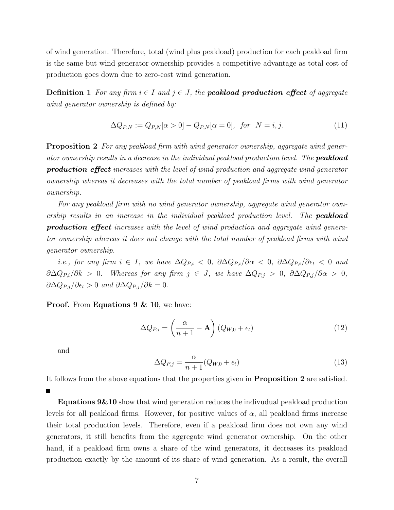of wind generation. Therefore, total (wind plus peakload) production for each peakload firm is the same but wind generator ownership provides a competitive advantage as total cost of production goes down due to zero-cost wind generation.

**Definition 1** For any firm  $i \in I$  and  $j \in J$ , the **peakload production effect** of aggregate wind generator ownership is defined by:

$$
\Delta Q_{P,N} := Q_{P,N}[\alpha > 0] - Q_{P,N}[\alpha = 0], \text{ for } N = i, j.
$$
 (11)

**Proposition 2** For any peakload firm with wind generator ownership, aggregate wind generator ownership results in a decrease in the individual peakload production level. The **peakload** production effect increases with the level of wind production and aggregate wind generator ownership whereas it decreases with the total number of peakload firms with wind generator ownership.

For any peakload firm with no wind generator ownership, aggregate wind generator ownership results in an increase in the individual peakload production level. The **peakload** production effect increases with the level of wind production and aggregate wind generator ownership whereas it does not change with the total number of peakload firms with wind generator ownership.

i.e., for any firm  $i \in I$ , we have  $\Delta Q_{P,i} < 0$ ,  $\partial \Delta Q_{P,i}/\partial \alpha < 0$ ,  $\partial \Delta Q_{P,i}/\partial \epsilon_t < 0$  and  $\partial \Delta Q_{P,i}/\partial k > 0$ . Whereas for any firm  $j \in J$ , we have  $\Delta Q_{P,j} > 0$ ,  $\partial \Delta Q_{P,j}/\partial \alpha > 0$ ,  $\partial \Delta Q_{P,j}/\partial \epsilon_t > 0$  and  $\partial \Delta Q_{P,j}/\partial k = 0$ .

**Proof.** From **Equations 9 & 10**, we have:

$$
\Delta Q_{P,i} = \left(\frac{\alpha}{n+1} - \mathbf{A}\right) \left(Q_{W,0} + \epsilon_t\right) \tag{12}
$$

and

$$
\Delta Q_{P,j} = \frac{\alpha}{n+1} (Q_{W,0} + \epsilon_t)
$$
\n(13)

It follows from the above equations that the properties given in Proposition 2 are satisfied.

**Equations 9 & 10** show that wind generation reduces the indivudual peakload production levels for all peakload firms. However, for positive values of  $\alpha$ , all peakload firms increase their total production levels. Therefore, even if a peakload firm does not own any wind generators, it still benefits from the aggregate wind generator ownership. On the other hand, if a peakload firm owns a share of the wind generators, it decreases its peakload production exactly by the amount of its share of wind generation. As a result, the overall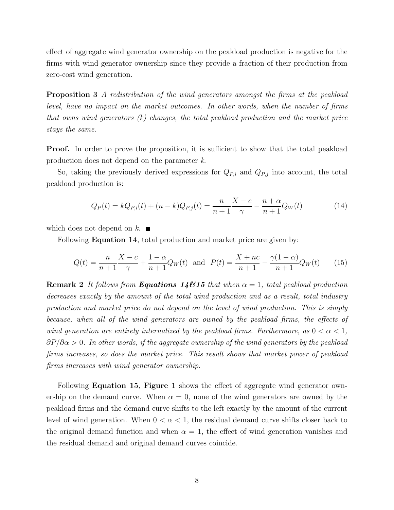effect of aggregate wind generator ownership on the peakload production is negative for the firms with wind generator ownership since they provide a fraction of their production from zero-cost wind generation.

**Proposition 3** A redistribution of the wind generators amongst the firms at the peakload level, have no impact on the market outcomes. In other words, when the number of firms that owns wind generators  $(k)$  changes, the total peakload production and the market price stays the same.

**Proof.** In order to prove the proposition, it is sufficient to show that the total peakload production does not depend on the parameter k.

So, taking the previously derived expressions for  $Q_{P,i}$  and  $Q_{P,j}$  into account, the total peakload production is:

$$
Q_P(t) = kQ_{P,i}(t) + (n-k)Q_{P,j}(t) = \frac{n}{n+1} \frac{X-c}{\gamma} - \frac{n+\alpha}{n+1} Q_W(t)
$$
(14)

which does not depend on  $k$ .

Following **Equation 14**, total production and market price are given by:

$$
Q(t) = \frac{n}{n+1} \frac{X-c}{\gamma} + \frac{1-\alpha}{n+1} Q_W(t) \text{ and } P(t) = \frac{X+nc}{n+1} - \frac{\gamma(1-\alpha)}{n+1} Q_W(t) \tag{15}
$$

**Remark 2** It follows from **Equations 146.15** that when  $\alpha = 1$ , total peakload production decreases exactly by the amount of the total wind production and as a result, total industry production and market price do not depend on the level of wind production. This is simply because, when all of the wind generators are owned by the peakload firms, the effects of wind generation are entirely internalized by the peakload firms. Furthermore, as  $0 < \alpha < 1$ ,  $\partial P/\partial \alpha > 0$ . In other words, if the aggregate ownership of the wind generators by the peakload firms increases, so does the market price. This result shows that market power of peakload firms increases with wind generator ownership.

Following **Equation 15, Figure 1** shows the effect of aggregate wind generator ownership on the demand curve. When  $\alpha = 0$ , none of the wind generators are owned by the peakload firms and the demand curve shifts to the left exactly by the amount of the current level of wind generation. When  $0 < \alpha < 1$ , the residual demand curve shifts closer back to the original demand function and when  $\alpha = 1$ , the effect of wind generation vanishes and the residual demand and original demand curves coincide.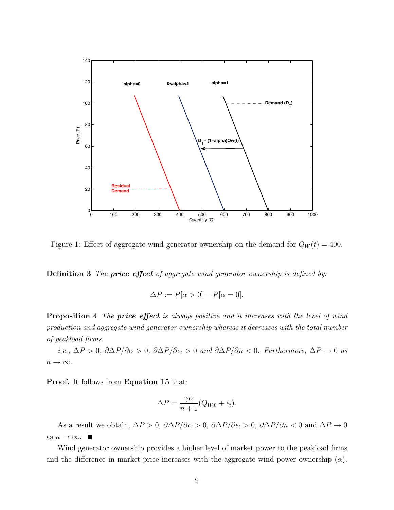

Figure 1: Effect of aggregate wind generator ownership on the demand for  $Q_W(t) = 400$ .

**Definition 3** The **price effect** of aggregate wind generator ownership is defined by:

$$
\Delta P := P[\alpha > 0] - P[\alpha = 0].
$$

Proposition 4 The price effect is always positive and it increases with the level of wind production and aggregate wind generator ownership whereas it decreases with the total number of peakload firms.

i.e.,  $\Delta P > 0$ ,  $\partial \Delta P/\partial \alpha > 0$ ,  $\partial \Delta P/\partial \epsilon_t > 0$  and  $\partial \Delta P/\partial n < 0$ . Furthermore,  $\Delta P \to 0$  as  $n \to \infty$ .

Proof. It follows from Equation 15 that:

$$
\Delta P = \frac{\gamma \alpha}{n+1} (Q_{W,0} + \epsilon_t).
$$

As a result we obtain,  $\Delta P > 0$ ,  $\partial \Delta P/\partial \alpha > 0$ ,  $\partial \Delta P/\partial \epsilon_t > 0$ ,  $\partial \Delta P/\partial n < 0$  and  $\Delta P \to 0$ as  $n \to \infty$ .  $\blacksquare$ 

Wind generator ownership provides a higher level of market power to the peakload firms and the difference in market price increases with the aggregate wind power ownership  $(\alpha)$ .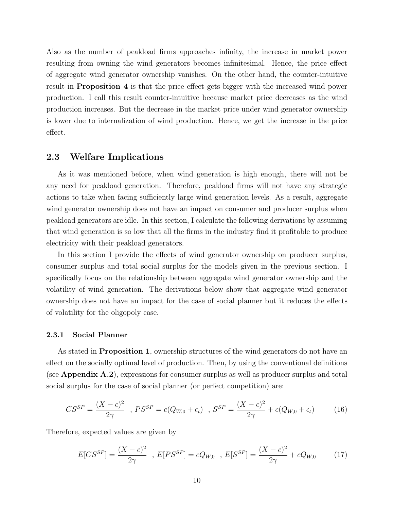Also as the number of peakload firms approaches infinity, the increase in market power resulting from owning the wind generators becomes infinitesimal. Hence, the price effect of aggregate wind generator ownership vanishes. On the other hand, the counter-intuitive result in Proposition 4 is that the price effect gets bigger with the increased wind power production. I call this result counter-intuitive because market price decreases as the wind production increases. But the decrease in the market price under wind generator ownership is lower due to internalization of wind production. Hence, we get the increase in the price effect.

### 2.3 Welfare Implications

As it was mentioned before, when wind generation is high enough, there will not be any need for peakload generation. Therefore, peakload firms will not have any strategic actions to take when facing sufficiently large wind generation levels. As a result, aggregate wind generator ownership does not have an impact on consumer and producer surplus when peakload generators are idle. In this section, I calculate the following derivations by assuming that wind generation is so low that all the firms in the industry find it profitable to produce electricity with their peakload generators.

In this section I provide the effects of wind generator ownership on producer surplus, consumer surplus and total social surplus for the models given in the previous section. I specifically focus on the relationship between aggregate wind generator ownership and the volatility of wind generation. The derivations below show that aggregate wind generator ownership does not have an impact for the case of social planner but it reduces the effects of volatility for the oligopoly case.

#### 2.3.1 Social Planner

As stated in **Proposition 1**, ownership structures of the wind generators do not have an effect on the socially optimal level of production. Then, by using the conventional definitions (see Appendix A.2), expressions for consumer surplus as well as producer surplus and total social surplus for the case of social planner (or perfect competition) are:

$$
CS^{SP} = \frac{(X-c)^2}{2\gamma} , PS^{SP} = c(Q_{W,0} + \epsilon_t) , S^{SP} = \frac{(X-c)^2}{2\gamma} + c(Q_{W,0} + \epsilon_t)
$$
 (16)

Therefore, expected values are given by

$$
E[CS^{SP}] = \frac{(X-c)^2}{2\gamma} , E[PS^{SP}] = cQ_{W,0} , E[S^{SP}] = \frac{(X-c)^2}{2\gamma} + cQ_{W,0}
$$
 (17)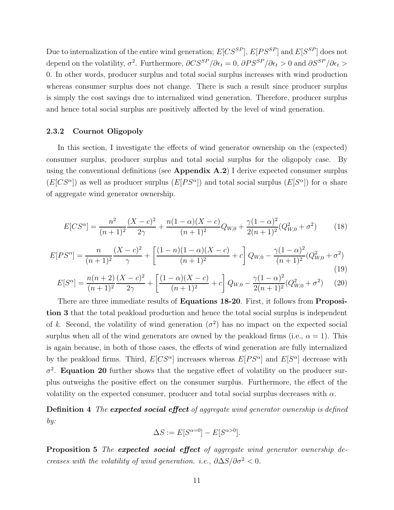Due to internalization of the entire wind generation;  $E[CS^{SP}]$ ,  $E[PS^{SP}]$  and  $E[SS^{P}]$  does not depend on the volatility,  $\sigma^2$ . Furthermore,  $\partial CS^{SP}/\partial \epsilon_t = 0$ ,  $\partial PS^{SP}/\partial \epsilon_t > 0$  and  $\partial S^{SP}/\partial \epsilon_t > 0$ 0. In other words, producer surplus and total social surplus increases with wind production whereas consumer surplus does not change. There is such a result since producer surplus is simply the cost savings due to internalized wind generation. Therefore, producer surplus and hence total social surplus are positively affected by the level of wind generation.

#### 2.3.2 Cournot Oligopoly

In this section, I investigate the effects of wind generator ownership on the (expected) consumer surplus, producer surplus and total social surplus for the oligopoly case. By using the conventional definitions (see Appendix  $A.2$ ) I derive expected consumer surplus  $(E[CS^{\alpha}]$  as well as producer surplus  $(E[PS^{\alpha}])$  and total social surplus  $(E[ S^{\alpha}])$  for  $\alpha$  share of aggregate wind generator ownership.

$$
E[CS^{\alpha}] = \frac{n^2}{(n+1)^2} \frac{(X-c)^2}{2\gamma} + \frac{n(1-\alpha)(X-c)}{(n+1)^2} Q_{W,0} + \frac{\gamma(1-\alpha)^2}{2(n+1)^2} (Q_{W,0}^2 + \sigma^2)
$$
(18)

$$
E[PS^{\alpha}] = \frac{n}{(n+1)^2} \frac{(X-c)^2}{\gamma} + \left[ \frac{(1-n)(1-\alpha)(X-c)}{(n+1)^2} + c \right] Q_{W,0} - \frac{\gamma(1-\alpha)^2}{(n+1)^2} (Q_{W,0}^2 + \sigma^2)
$$
\n(19)

$$
E[S^{\alpha}] = \frac{n(n+2)}{(n+1)^2} \frac{(X-c)^2}{2\gamma} + \left[ \frac{(1-\alpha)(X-c)}{(n+1)^2} + c \right] Q_{W,0} - \frac{\gamma(1-\alpha)^2}{2(n+1)^2} (Q_{W,0}^2 + \sigma^2) \tag{20}
$$

There are three immediate results of **Equations 18-20**. First, it follows from **Proposi**tion 3 that the total peakload production and hence the total social surplus is independent of k. Second, the volatility of wind generation  $(\sigma^2)$  has no impact on the expected social surplus when all of the wind generators are owned by the peakload firms (i.e.,  $\alpha = 1$ ). This is again because, in both of those cases, the effects of wind generation are fully internalized by the peakload firms. Third,  $E[CS^{\alpha}]$  increases whereas  $E[PS^{\alpha}]$  and  $E[S^{\alpha}]$  decrease with  $\sigma^2$ . **Equation 20** further shows that the negative effect of volatility on the producer surplus outweighs the positive effect on the consumer surplus. Furthermore, the effect of the volatility on the expected consumer, producer and total social surplus decreases with  $\alpha$ .

**Definition 4** The **expected social effect** of aggregate wind generator ownership is defined by:

$$
\Delta S := E[S^{\alpha=0}] - E[S^{\alpha>0}].
$$

Proposition 5 The expected social effect of aggregate wind generator ownership decreases with the volatility of wind generation. i.e.,  $\partial \Delta S/\partial \sigma^2 < 0$ .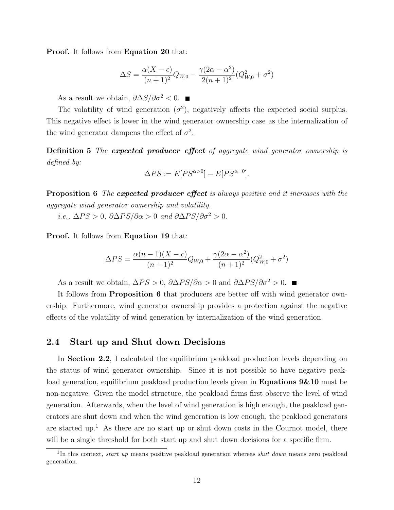Proof. It follows from Equation 20 that:

$$
\Delta S = \frac{\alpha (X - c)}{(n + 1)^2} Q_{W,0} - \frac{\gamma (2\alpha - \alpha^2)}{2(n + 1)^2} (Q_{W,0}^2 + \sigma^2)
$$

As a result we obtain,  $\partial \Delta S / \partial \sigma^2 < 0$ . ■

The volatility of wind generation  $(\sigma^2)$ , negatively affects the expected social surplus. This negative effect is lower in the wind generator ownership case as the internalization of the wind generator dampens the effect of  $\sigma^2$ .

Definition 5 The expected producer effect of aggregate wind generator ownership is defined by:

$$
\Delta PS := E[PS^{\alpha > 0}] - E[PS^{\alpha = 0}].
$$

**Proposition 6** The **expected producer effect** is always positive and it increases with the aggregate wind generator ownership and volatility.

i.e.,  $\Delta PS > 0$ ,  $\partial \Delta PS / \partial \alpha > 0$  and  $\partial \Delta PS / \partial \sigma^2 > 0$ .

Proof. It follows from Equation 19 that:

$$
\Delta PS = \frac{\alpha (n-1)(X-c)}{(n+1)^2} Q_{W,0} + \frac{\gamma (2\alpha - \alpha^2)}{(n+1)^2} (Q_{W,0}^2 + \sigma^2)
$$

As a result we obtain,  $\Delta PS > 0$ ,  $\partial \Delta PS / \partial \alpha > 0$  and  $\partial \Delta PS / \partial \sigma^2 > 0$ .

It follows from **Proposition 6** that producers are better off with wind generator ownership. Furthermore, wind generator ownership provides a protection against the negative effects of the volatility of wind generation by internalization of the wind generation.

#### 2.4 Start up and Shut down Decisions

In **Section 2.2**, I calculated the equilibrium peakload production levels depending on the status of wind generator ownership. Since it is not possible to have negative peakload generation, equilibrium peakload production levels given in **Equations 9&10** must be non-negative. Given the model structure, the peakload firms first observe the level of wind generation. Afterwards, when the level of wind generation is high enough, the peakload generators are shut down and when the wind generation is low enough, the peakload generators are started up.<sup>1</sup> As there are no start up or shut down costs in the Cournot model, there will be a single threshold for both start up and shut down decisions for a specific firm.

<sup>&</sup>lt;sup>1</sup>In this context, *start up* means positive peakload generation whereas *shut down* means zero peakload generation.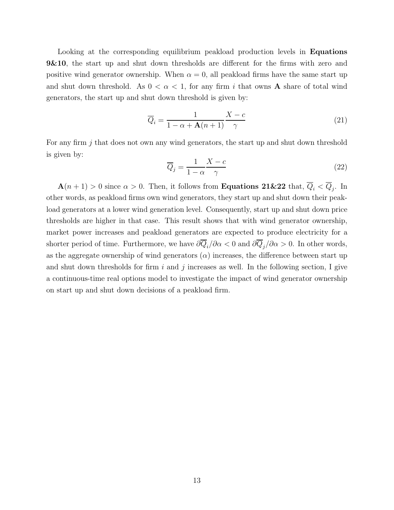Looking at the corresponding equilibrium peakload production levels in **Equations 9&10**, the start up and shut down thresholds are different for the firms with zero and positive wind generator ownership. When  $\alpha = 0$ , all peakload firms have the same start up and shut down threshold. As  $0 < \alpha < 1$ , for any firm i that owns **A** share of total wind generators, the start up and shut down threshold is given by:

$$
\overline{Q}_i = \frac{1}{1 - \alpha + \mathbf{A}(n+1)} \frac{X - c}{\gamma} \tag{21}
$$

For any firm j that does not own any wind generators, the start up and shut down threshold is given by:

$$
\overline{Q}_j = \frac{1}{1 - \alpha} \frac{X - c}{\gamma} \tag{22}
$$

 $\mathbf{A}(n+1) > 0$  since  $\alpha > 0$ . Then, it follows from **Equations 21&22** that,  $\overline{Q}_i < \overline{Q}_j$ . In other words, as peakload firms own wind generators, they start up and shut down their peakload generators at a lower wind generation level. Consequently, start up and shut down price thresholds are higher in that case. This result shows that with wind generator ownership, market power increases and peakload generators are expected to produce electricity for a shorter period of time. Furthermore, we have  $\partial \overline{Q}_i/\partial \alpha < 0$  and  $\partial \overline{Q}_j/\partial \alpha > 0$ . In other words, as the aggregate ownership of wind generators  $(\alpha)$  increases, the difference between start up and shut down thresholds for firm  $i$  and  $j$  increases as well. In the following section, I give a continuous-time real options model to investigate the impact of wind generator ownership on start up and shut down decisions of a peakload firm.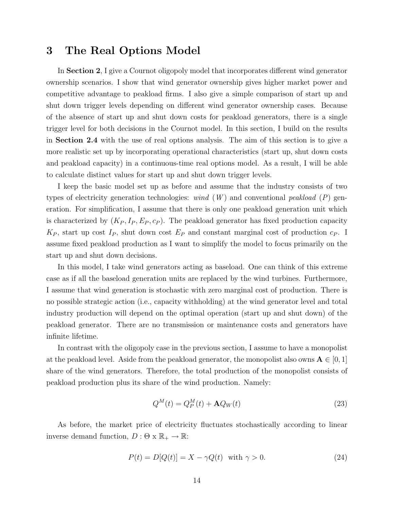### 3 The Real Options Model

In Section 2, I give a Cournot oligopoly model that incorporates different wind generator ownership scenarios. I show that wind generator ownership gives higher market power and competitive advantage to peakload firms. I also give a simple comparison of start up and shut down trigger levels depending on different wind generator ownership cases. Because of the absence of start up and shut down costs for peakload generators, there is a single trigger level for both decisions in the Cournot model. In this section, I build on the results in Section 2.4 with the use of real options analysis. The aim of this section is to give a more realistic set up by incorporating operational characteristics (start up, shut down costs and peakload capacity) in a continuous-time real options model. As a result, I will be able to calculate distinct values for start up and shut down trigger levels.

I keep the basic model set up as before and assume that the industry consists of two types of electricity generation technologies: wind  $(W)$  and conventional peakload  $(P)$  generation. For simplification, I assume that there is only one peakload generation unit which is characterized by  $(K_P, I_P, E_P, c_P)$ . The peakload generator has fixed production capacity  $K_P$ , start up cost  $I_P$ , shut down cost  $E_P$  and constant marginal cost of production  $c_P$ . I assume fixed peakload production as I want to simplify the model to focus primarily on the start up and shut down decisions.

In this model, I take wind generators acting as baseload. One can think of this extreme case as if all the baseload generation units are replaced by the wind turbines. Furthermore, I assume that wind generation is stochastic with zero marginal cost of production. There is no possible strategic action (i.e., capacity withholding) at the wind generator level and total industry production will depend on the optimal operation (start up and shut down) of the peakload generator. There are no transmission or maintenance costs and generators have infinite lifetime.

In contrast with the oligopoly case in the previous section, I assume to have a monopolist at the peakload level. Aside from the peakload generator, the monopolist also owns  $\mathbf{A} \in [0,1]$ share of the wind generators. Therefore, the total production of the monopolist consists of peakload production plus its share of the wind production. Namely:

$$
Q^{M}(t) = Q_{P}^{M}(t) + \mathbf{A}Q_{W}(t)
$$
\n(23)

As before, the market price of electricity fluctuates stochastically according to linear inverse demand function,  $D : \Theta \times \mathbb{R}_+ \to \mathbb{R}$ :

$$
P(t) = D[Q(t)] = X - \gamma Q(t) \quad \text{with } \gamma > 0. \tag{24}
$$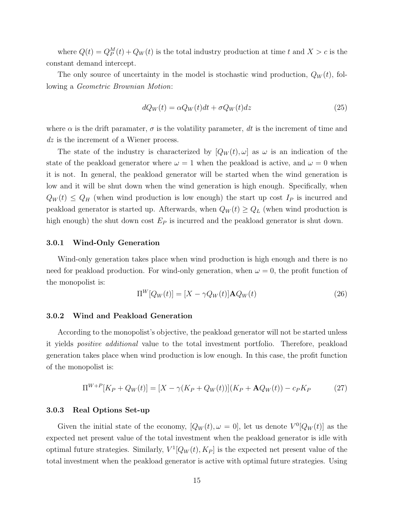where  $Q(t) = Q_P^M(t) + Q_W(t)$  is the total industry production at time t and  $X > c$  is the constant demand intercept.

The only source of uncertainty in the model is stochastic wind production,  $Q_W(t)$ , following a Geometric Brownian Motion:

$$
dQ_W(t) = \alpha Q_W(t)dt + \sigma Q_W(t)dz
$$
\n(25)

where  $\alpha$  is the drift paramater,  $\sigma$  is the volatility parameter, dt is the increment of time and dz is the increment of a Wiener process.

The state of the industry is characterized by  $[Q_W(t), \omega]$  as  $\omega$  is an indication of the state of the peakload generator where  $\omega = 1$  when the peakload is active, and  $\omega = 0$  when it is not. In general, the peakload generator will be started when the wind generation is low and it will be shut down when the wind generation is high enough. Specifically, when  $Q_W(t) \leq Q_H$  (when wind production is low enough) the start up cost  $I_P$  is incurred and peakload generator is started up. Afterwards, when  $Q_W(t) \geq Q_L$  (when wind production is high enough) the shut down cost  $E_P$  is incurred and the peakload generator is shut down.

#### 3.0.1 Wind-Only Generation

Wind-only generation takes place when wind production is high enough and there is no need for peakload production. For wind-only generation, when  $\omega = 0$ , the profit function of the monopolist is:

$$
\Pi^W[Q_W(t)] = [X - \gamma Q_W(t)]\mathbf{A}Q_W(t)
$$
\n(26)

#### 3.0.2 Wind and Peakload Generation

According to the monopolist's objective, the peakload generator will not be started unless it yields positive additional value to the total investment portfolio. Therefore, peakload generation takes place when wind production is low enough. In this case, the profit function of the monopolist is:

$$
\Pi^{W+P}[K_P + Q_W(t)] = [X - \gamma(K_P + Q_W(t))](K_P + \mathbf{A}Q_W(t)) - c_P K_P \tag{27}
$$

#### 3.0.3 Real Options Set-up

Given the initial state of the economy,  $[Q_W(t), \omega = 0]$ , let us denote  $V^0[Q_W(t)]$  as the expected net present value of the total investment when the peakload generator is idle with optimal future strategies. Similarly,  $V^1[Q_W(t), K_P]$  is the expected net present value of the total investment when the peakload generator is active with optimal future strategies. Using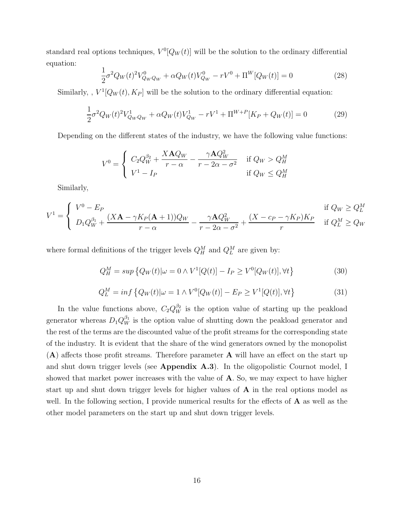standard real options techniques,  $V^0[Q_W(t)]$  will be the solution to the ordinary differential equation:

$$
\frac{1}{2}\sigma^2 Q_W(t)^2 V_{Q_W Q_W}^0 + \alpha Q_W(t) V_{Q_W}^0 - rV^0 + \Pi^W [Q_W(t)] = 0
$$
\n(28)

Similarly, ,  $V^1[Q_W(t), K_P]$  will be the solution to the ordinary differential equation:

$$
\frac{1}{2}\sigma^2 Q_W(t)^2 V_{Q_W Q_W}^1 + \alpha Q_W(t) V_{Q_W}^1 - rV^1 + \Pi^{W+P}[K_P + Q_W(t)] = 0
$$
\n(29)

Depending on the different states of the industry, we have the following value functions:

$$
V^{0} = \begin{cases} C_{2}Q_{W}^{\beta_{2}} + \frac{X\mathbf{A}Q_{W}}{r-\alpha} - \frac{\gamma\mathbf{A}Q_{W}^{2}}{r-2\alpha-\sigma^{2}} & \text{if } Q_{W} > Q_{H}^{M} \\ V^{1} - I_{P} & \text{if } Q_{W} \leq Q_{H}^{M} \end{cases}
$$

Similarly,

$$
V^{1} = \begin{cases} V^{0} - E_{P} & \text{if } Q_{W} \geq Q_{L}^{M} \\ D_{1}Q_{W}^{\beta_{1}} + \frac{(X\mathbf{A} - \gamma K_{P}(\mathbf{A} + 1))Q_{W}}{r - \alpha} - \frac{\gamma \mathbf{A}Q_{W}^{2}}{r - 2\alpha - \sigma^{2}} + \frac{(X - c_{P} - \gamma K_{P})K_{P}}{r} & \text{if } Q_{L}^{M} \geq Q_{W} \end{cases}
$$

where formal definitions of the trigger levels  $Q_H^M$  and  $Q_L^M$  are given by:

$$
Q_H^M = \sup \left\{ Q_W(t) | \omega = 0 \wedge V^1[Q(t)] - I_P \ge V^0[Q_W(t)], \forall t \right\} \tag{30}
$$

$$
Q_L^M = \inf \left\{ Q_W(t) | \omega = 1 \wedge V^0[Q_W(t)] - E_P \ge V^1[Q(t)], \forall t \right\}
$$
(31)

In the value functions above,  $C_2 Q_W^{\beta_2}$  is the option value of starting up the peakload generator whereas  $D_1 Q_W^{\beta_1}$  is the option value of shutting down the peakload generator and the rest of the terms are the discounted value of the profit streams for the corresponding state of the industry. It is evident that the share of the wind generators owned by the monopolist (A) affects those profit streams. Therefore parameter A will have an effect on the start up and shut down trigger levels (see Appendix A.3). In the oligopolistic Cournot model, I showed that market power increases with the value of  $A$ . So, we may expect to have higher start up and shut down trigger levels for higher values of A in the real options model as well. In the following section, I provide numerical results for the effects of  $\bf{A}$  as well as the other model parameters on the start up and shut down trigger levels.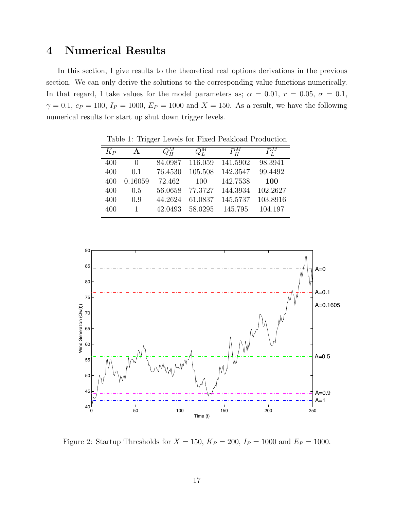# 4 Numerical Results

In this section, I give results to the theoretical real options derivations in the previous section. We can only derive the solutions to the corresponding value functions numerically. In that regard, I take values for the model parameters as;  $\alpha = 0.01$ ,  $r = 0.05$ ,  $\sigma = 0.1$ ,  $\gamma = 0.1, c_P = 100, I_P = 1000, E_P = 1000$  and  $X = 150$ . As a result, we have the following numerical results for start up shut down trigger levels.

| $K_P$ | A            | $Q_{H}^{M}$ | $\overline{Q}^{M}_{I}$ | $P_{H}^{M}$ | $P_{\rm r}^{M}$ |
|-------|--------------|-------------|------------------------|-------------|-----------------|
| 400   | $\mathbf{0}$ | 84.0987     | 116.059                | 141.5902    | 98.3941         |
| 400   | $(1)$ . 1    | 76.4530     | 105.508                | 142.3547    | 99.4492         |
| 400   | 0.16059      | 72.462      | 100                    | 142.7538    | <b>100</b>      |
| 400   | 0.5          | 56.0658     | 77.3727                | 144.3934    | 102.2627        |
| 400   | 0.9          | 44.2624     | 61.0837                | 145.5737    | 103.8916        |
| 400   |              | 42.0493     | 58.0295                | 145.795     | 104.197         |

Table 1: Trigger Levels for Fixed Peakload Production



Figure 2: Startup Thresholds for  $X = 150$ ,  $K_P = 200$ ,  $I_P = 1000$  and  $E_P = 1000$ .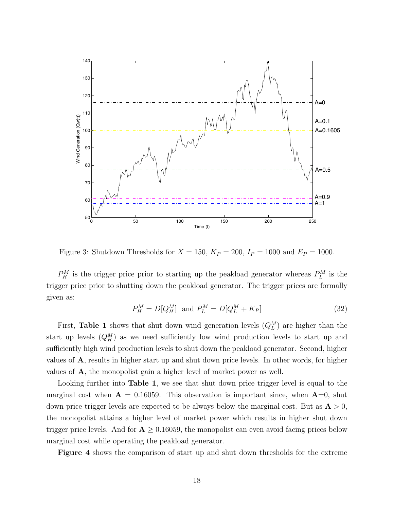

Figure 3: Shutdown Thresholds for  $X = 150$ ,  $K_P = 200$ ,  $I_P = 1000$  and  $E_P = 1000$ .

 $P_H^M$  is the trigger price prior to starting up the peakload generator whereas  $P_L^M$  is the trigger price prior to shutting down the peakload generator. The trigger prices are formally given as:

$$
P_H^M = D[Q_H^M] \text{ and } P_L^M = D[Q_L^M + K_P] \tag{32}
$$

First, Table 1 shows that shut down wind generation levels  $(Q_L^M)$  are higher than the start up levels  $(Q_M^M)$  as we need sufficiently low wind production levels to start up and sufficiently high wind production levels to shut down the peakload generator. Second, higher values of A, results in higher start up and shut down price levels. In other words, for higher values of A, the monopolist gain a higher level of market power as well.

Looking further into **Table 1**, we see that shut down price trigger level is equal to the marginal cost when  $\mathbf{A} = 0.16059$ . This observation is important since, when  $\mathbf{A} = 0$ , shut down price trigger levels are expected to be always below the marginal cost. But as  $A > 0$ , the monopolist attains a higher level of market power which results in higher shut down trigger price levels. And for  $A \geq 0.16059$ , the monopolist can even avoid facing prices below marginal cost while operating the peakload generator.

Figure 4 shows the comparison of start up and shut down thresholds for the extreme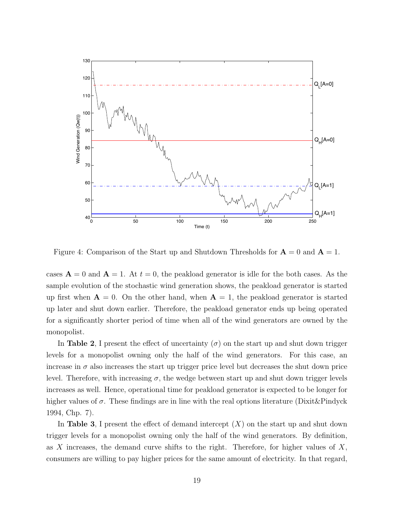

Figure 4: Comparison of the Start up and Shutdown Thresholds for  $\mathbf{A} = 0$  and  $\mathbf{A} = 1$ .

cases  $\mathbf{A} = 0$  and  $\mathbf{A} = 1$ . At  $t = 0$ , the peakload generator is idle for the both cases. As the sample evolution of the stochastic wind generation shows, the peakload generator is started up first when  $\mathbf{A} = 0$ . On the other hand, when  $\mathbf{A} = 1$ , the peakload generator is started up later and shut down earlier. Therefore, the peakload generator ends up being operated for a significantly shorter period of time when all of the wind generators are owned by the monopolist.

In Table 2, I present the effect of uncertainty  $(\sigma)$  on the start up and shut down trigger levels for a monopolist owning only the half of the wind generators. For this case, an increase in  $\sigma$  also increases the start up trigger price level but decreases the shut down price level. Therefore, with increasing  $\sigma$ , the wedge between start up and shut down trigger levels increases as well. Hence, operational time for peakload generator is expected to be longer for higher values of  $\sigma$ . These findings are in line with the real options literature (Dixit&Pindyck 1994, Chp. 7).

In Table 3, I present the effect of demand intercept  $(X)$  on the start up and shut down trigger levels for a monopolist owning only the half of the wind generators. By definition, as X increases, the demand curve shifts to the right. Therefore, for higher values of  $X$ , consumers are willing to pay higher prices for the same amount of electricity. In that regard,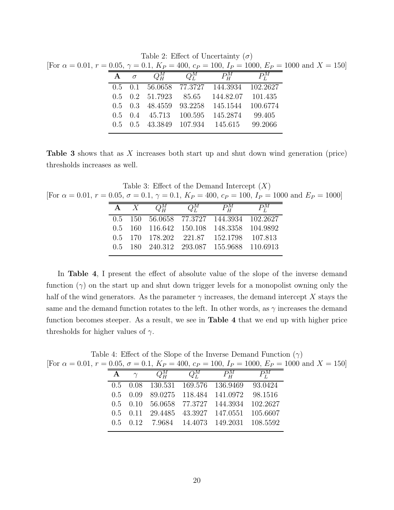|                                                                                                                           |  |  | $\pm$ aproximate the contract called $\theta$ /                                |                                          |  |
|---------------------------------------------------------------------------------------------------------------------------|--|--|--------------------------------------------------------------------------------|------------------------------------------|--|
| For $\alpha = 0.01$ , $r = 0.05$ , $\gamma = 0.1$ , $K_P = 400$ , $c_P = 100$ , $I_P = 1000$ , $E_P = 1000$ and $X = 150$ |  |  |                                                                                |                                          |  |
|                                                                                                                           |  |  | $\mathbf{A}$ $\sigma$ $Q_{\mathbf{u}}^M$ $Q_{\mathbf{v}}^M$ $P_{\mathbf{u}}^M$ | $\overline{P^M_{\scriptscriptstyle{I}}}$ |  |
|                                                                                                                           |  |  | 0.5 0.1 56.0658 77.3727 144.3934 102.2627                                      |                                          |  |
|                                                                                                                           |  |  | $0.5$ $0.2$ $51.7923$ $85.65$ $144.82.07$ $101.435$                            |                                          |  |
|                                                                                                                           |  |  | 0.5 0.3 48.4559 93.2258 145.1544                                               | 100.6774                                 |  |
|                                                                                                                           |  |  | $0.5$ $0.4$ $45.713$ $100.595$ $145.2874$                                      | 99.405                                   |  |
|                                                                                                                           |  |  | 0.5 0.5 43.3849 107.934 145.615 99.2066                                        |                                          |  |
|                                                                                                                           |  |  |                                                                                |                                          |  |

Table 2: Effect of Uncertainty  $(\sigma)$ 

Table 3 shows that as X increases both start up and shut down wind generation (price) thresholds increases as well.

Table 3: Effect of the Demand Intercept  $(X)$ [For  $\alpha = 0.01$ ,  $r = 0.05$ ,  $\sigma = 0.1$ ,  $\gamma = 0.1$ ,  $K_P = 400$ ,  $c_P = 100$ ,  $I_P = 1000$  and  $E_P = 1000$ ]

|  |  | $A \quad X \quad Q_{\mathbf{u}}^M \quad Q_{\mathbf{u}}^M \quad P_{\mathbf{u}}^M$ | $P_{I}^{M}$ |
|--|--|----------------------------------------------------------------------------------|-------------|
|  |  | 0.5 150 56.0658 77.3727 144.3934 102.2627                                        |             |
|  |  | 0.5 160 116.642 150.108 148.3358 104.9892                                        |             |
|  |  | 0.5 170 178.202 221.87 152.1798 107.813                                          |             |
|  |  | 0.5 180 240.312 293.087 155.9688 110.6913                                        |             |
|  |  |                                                                                  |             |

In Table 4, I present the effect of absolute value of the slope of the inverse demand function  $(\gamma)$  on the start up and shut down trigger levels for a monopolist owning only the half of the wind generators. As the parameter  $\gamma$  increases, the demand intercept X stays the same and the demand function rotates to the left. In other words, as  $\gamma$  increases the demand function becomes steeper. As a result, we see in Table 4 that we end up with higher price thresholds for higher values of  $\gamma$ .

Table 4: Effect of the Slope of the Inverse Demand Function  $(\gamma)$ 

|              |  |                                                          |               | [For $\alpha = 0.01$ , $r = 0.05$ , $\sigma = 0.1$ , $K_P = 400$ , $c_P = 100$ , $I_P = 1000$ , $E_P = 1000$ and $X = 150$ ] |
|--------------|--|----------------------------------------------------------|---------------|------------------------------------------------------------------------------------------------------------------------------|
| $\mathbf{A}$ |  | $Q_{\mathbf{u}}^M$ $Q_{\mathbf{r}}^M$ $P_{\mathbf{u}}^M$ | $P_{\rm r}^M$ |                                                                                                                              |
|              |  | 0.5 0.08 130.531 169.576 136.9469 93.0424                |               |                                                                                                                              |
|              |  | 0.5 0.09 89.0275 118.484 141.0972 98.1516                |               |                                                                                                                              |
|              |  | 0.5 0.10 56.0658 77.3727 144.3934 102.2627               |               |                                                                                                                              |
|              |  | 0.5 0.11 29.4485 43.3927 147.0551 105.6607               |               |                                                                                                                              |
|              |  | 0.5 0.12 7.9684 14.4073 149.2031 108.5592                |               |                                                                                                                              |
|              |  |                                                          |               |                                                                                                                              |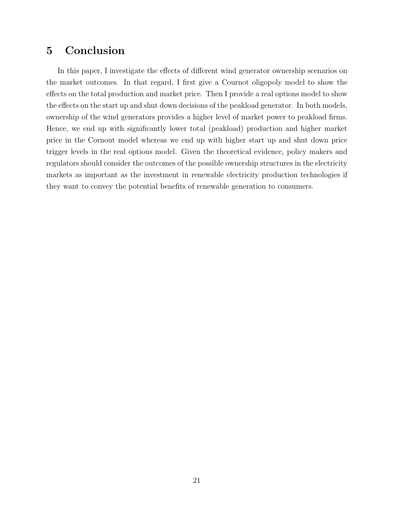# 5 Conclusion

In this paper, I investigate the effects of different wind generator ownership scenarios on the market outcomes. In that regard, I first give a Cournot oligopoly model to show the effects on the total production and market price. Then I provide a real options model to show the effects on the start up and shut down decisions of the peakload generator. In both models, ownership of the wind generators provides a higher level of market power to peakload firms. Hence, we end up with significantly lower total (peakload) production and higher market price in the Cornout model whereas we end up with higher start up and shut down price trigger levels in the real options model. Given the theoretical evidence, policy makers and regulators should consider the outcomes of the possible ownership structures in the electricity markets as important as the investment in renewable electricity production technologies if they want to convey the potential benefits of renewable generation to consumers.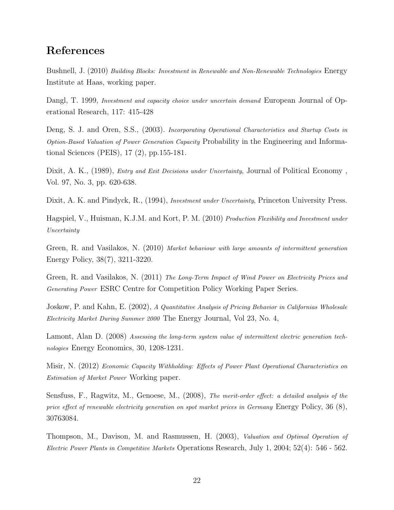# References

Bushnell, J. (2010) Building Blocks: Investment in Renewable and Non-Renewable Technologies Energy Institute at Haas, working paper.

Dangl, T. 1999, *Investment and capacity choice under uncertain demand* European Journal of Operational Research, 117: 415-428

Deng, S. J. and Oren, S.S., (2003). Incorporating Operational Characteristics and Startup Costs in Option-Based Valuation of Power Generation Capacity Probability in the Engineering and Informational Sciences (PEIS), 17 (2), pp.155-181.

Dixit, A. K., (1989), Entry and Exit Decisions under Uncertainty, Journal of Political Economy , Vol. 97, No. 3, pp. 620-638.

Dixit, A. K. and Pindyck, R., (1994), *Investment under Uncertainty*, Princeton University Press.

Hagspiel, V., Huisman, K.J.M. and Kort, P. M. (2010) Production Flexibility and Investment under Uncertainty

Green, R. and Vasilakos, N. (2010) Market behaviour with large amounts of intermittent generation Energy Policy, 38(7), 3211-3220.

Green, R. and Vasilakos, N. (2011) The Long-Term Impact of Wind Power on Electricity Prices and Generating Power ESRC Centre for Competition Policy Working Paper Series.

Joskow, P. and Kahn, E. (2002), A Quantitative Analysis of Pricing Behavior in Californias Wholesale Electricity Market During Summer 2000 The Energy Journal, Vol 23, No. 4,

Lamont, Alan D. (2008) Assessing the long-term system value of intermittent electric generation technologies Energy Economics, 30, 1208-1231.

Misir, N. (2012) Economic Capacity Withholding: Effects of Power Plant Operational Characteristics on Estimation of Market Power Working paper.

Sensfuss, F., Ragwitz, M., Genoese, M., (2008), The merit-order effect: a detailed analysis of the price effect of renewable electricity generation on spot market prices in Germany Energy Policy, 36 (8), 30763084.

Thompson, M., Davison, M. and Rasmussen, H. (2003), Valuation and Optimal Operation of Electric Power Plants in Competitive Markets Operations Research, July 1, 2004; 52(4): 546 - 562.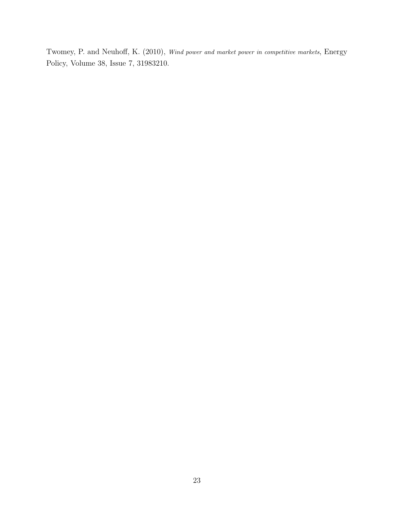Twomey, P. and Neuhoff, K. (2010), Wind power and market power in competitive markets, Energy Policy, Volume 38, Issue 7, 31983210.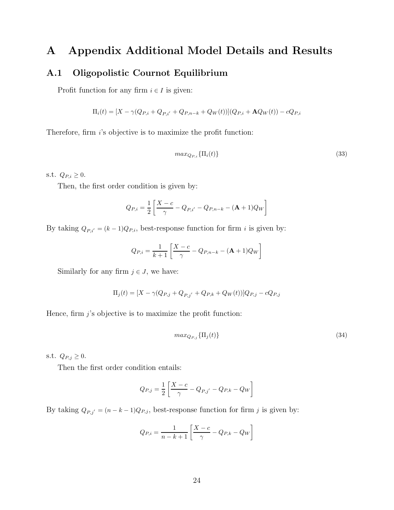# A Appendix Additional Model Details and Results

### A.1 Oligopolistic Cournot Equilibrium

Profit function for any firm  $i \in I$  is given:

$$
\Pi_i(t) = [X - \gamma(Q_{P,i} + Q_{P,i'} + Q_{P,n-k} + Q_W(t))](Q_{P,i} + \mathbf{A}Q_W(t)) - cQ_{P,i}
$$

Therefore, firm  $i$ 's objective is to maximize the profit function:

$$
max_{Q_{P,i}} \{ \Pi_i(t) \} \tag{33}
$$

s.t.  $Q_{P,i} \geq 0$ .

Then, the first order condition is given by:

$$
Q_{P,i} = \frac{1}{2} \left[ \frac{X - c}{\gamma} - Q_{P,i'} - Q_{P,n-k} - (\mathbf{A} + 1) Q_W \right]
$$

By taking  $Q_{P,i'} = (k-1)Q_{P,i}$ , best-response function for firm *i* is given by:

$$
Q_{P,i} = \frac{1}{k+1} \left[ \frac{X-c}{\gamma} - Q_{P,n-k} - (\mathbf{A} + 1)Q_W \right]
$$

Similarly for any firm  $j \in J$ , we have:

$$
\Pi_j(t) = [X - \gamma (Q_{P,j} + Q_{P,j'} + Q_{P,k} + Q_W(t))]Q_{P,j} - cQ_{P,j}
$$

Hence, firm  $j$ 's objective is to maximize the profit function:

$$
max_{Q_{P,j}} \{ \Pi_j(t) \} \tag{34}
$$

s.t.  $Q_{P,j} \geq 0$ .

Then the first order condition entails:

$$
Q_{P,j} = \frac{1}{2} \left[ \frac{X - c}{\gamma} - Q_{P,j'} - Q_{P,k} - Q_W \right]
$$

By taking  $Q_{P,j'} = (n - k - 1)Q_{P,j}$ , best-response function for firm j is given by:

$$
Q_{P,i} = \frac{1}{n-k+1} \left[ \frac{X-c}{\gamma} - Q_{P,k} - Q_W \right]
$$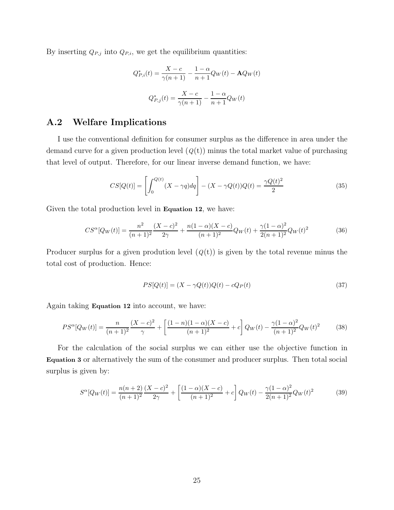By inserting  $Q_{P,j}$  into  $Q_{P,i}$ , we get the equilibrium quantities:

$$
Q_{P,i}^{*}(t) = \frac{X - c}{\gamma(n+1)} - \frac{1 - \alpha}{n+1} Q_W(t) - \mathbf{A} Q_W(t)
$$

$$
Q_{P,j}^{*}(t) = \frac{X - c}{\gamma(n+1)} - \frac{1 - \alpha}{n+1} Q_W(t)
$$

### A.2 Welfare Implications

I use the conventional definition for consumer surplus as the difference in area under the demand curve for a given production level  $(Q(t))$  minus the total market value of purchasing that level of output. Therefore, for our linear inverse demand function, we have:

$$
CS[Q(t)] = \left[ \int_0^{Q(t)} (X - \gamma q) dq \right] - (X - \gamma Q(t))Q(t) = \frac{\gamma Q(t)^2}{2}
$$
(35)

Given the total production level in **Equation 12**, we have:

$$
CS^{\alpha}[Q_W(t)] = \frac{n^2}{(n+1)^2} \frac{(X-c)^2}{2\gamma} + \frac{n(1-\alpha)(X-c)}{(n+1)^2} Q_W(t) + \frac{\gamma(1-\alpha)^2}{2(n+1)^2} Q_W(t)^2 \tag{36}
$$

Producer surplus for a given prodution level  $(Q(t))$  is given by the total revenue minus the total cost of production. Hence:

$$
PS[Q(t)] = (X - \gamma Q(t))Q(t) - cQ_P(t)
$$
\n(37)

Again taking Equation 12 into account, we have:

$$
PS^{\alpha}[Q_W(t)] = \frac{n}{(n+1)^2} \frac{(X-c)^2}{\gamma} + \left[ \frac{(1-n)(1-\alpha)(X-c)}{(n+1)^2} + c \right] Q_W(t) - \frac{\gamma(1-\alpha)^2}{(n+1)^2} Q_W(t)^2 \tag{38}
$$

For the calculation of the social surplus we can either use the objective function in Equation 3 or alternatively the sum of the consumer and producer surplus. Then total social surplus is given by:

$$
S^{\alpha}[Q_W(t)] = \frac{n(n+2)}{(n+1)^2} \frac{(X-c)^2}{2\gamma} + \left[ \frac{(1-\alpha)(X-c)}{(n+1)^2} + c \right] Q_W(t) - \frac{\gamma(1-\alpha)^2}{2(n+1)^2} Q_W(t)^2 \tag{39}
$$